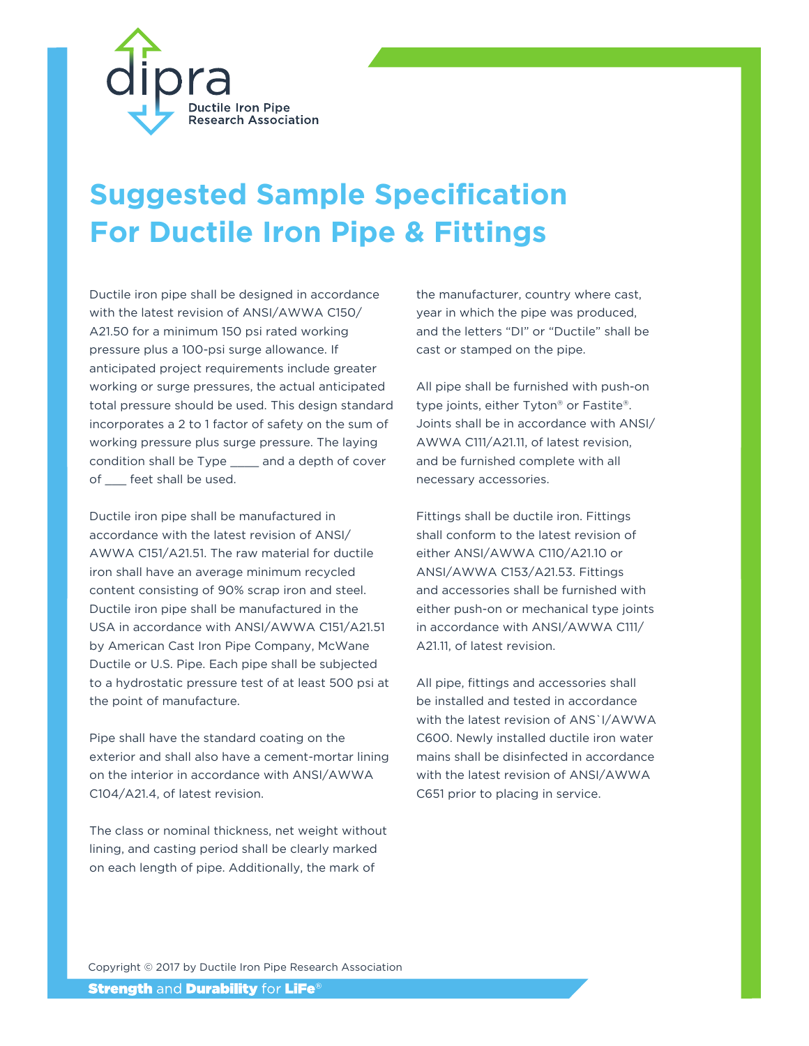

# **Suggested Sample Specification For Ductile Iron Pipe & Fittings**

Ductile iron pipe shall be designed in accordance with the latest revision of ANSI/AWWA C150/ A21.50 for a minimum 150 psi rated working pressure plus a 100-psi surge allowance. If anticipated project requirements include greater working or surge pressures, the actual anticipated total pressure should be used. This design standard incorporates a 2 to 1 factor of safety on the sum of working pressure plus surge pressure. The laying condition shall be Type \_\_\_\_ and a depth of cover of \_\_\_ feet shall be used.

Ductile iron pipe shall be manufactured in accordance with the latest revision of ANSI/ AWWA C151/A21.51. The raw material for ductile iron shall have an average minimum recycled content consisting of 90% scrap iron and steel. Ductile iron pipe shall be manufactured in the USA in accordance with ANSI/AWWA C151/A21.51 by American Cast Iron Pipe Company, McWane Ductile or U.S. Pipe. Each pipe shall be subjected to a hydrostatic pressure test of at least 500 psi at the point of manufacture.

Pipe shall have the standard coating on the exterior and shall also have a cement-mortar lining on the interior in accordance with ANSI/AWWA C104/A21.4, of latest revision.

The class or nominal thickness, net weight without lining, and casting period shall be clearly marked on each length of pipe. Additionally, the mark of

the manufacturer, country where cast, year in which the pipe was produced, and the letters "DI" or "Ductile" shall be cast or stamped on the pipe.

All pipe shall be furnished with push-on type joints, either Tyton® or Fastite®. Joints shall be in accordance with ANSI/ AWWA C111/A21.11, of latest revision, and be furnished complete with all necessary accessories.

Fittings shall be ductile iron. Fittings shall conform to the latest revision of either ANSI/AWWA C110/A21.10 or ANSI/AWWA C153/A21.53. Fittings and accessories shall be furnished with either push-on or mechanical type joints in accordance with ANSI/AWWA C111/ A21.11, of latest revision.

All pipe, fittings and accessories shall be installed and tested in accordance with the latest revision of ANS`I/AWWA C600. Newly installed ductile iron water mains shall be disinfected in accordance with the latest revision of ANSI/AWWA C651 prior to placing in service.

Copyright © 2017 by Ductile Iron Pipe Research Association

**Strength and Durability for LiFe®**